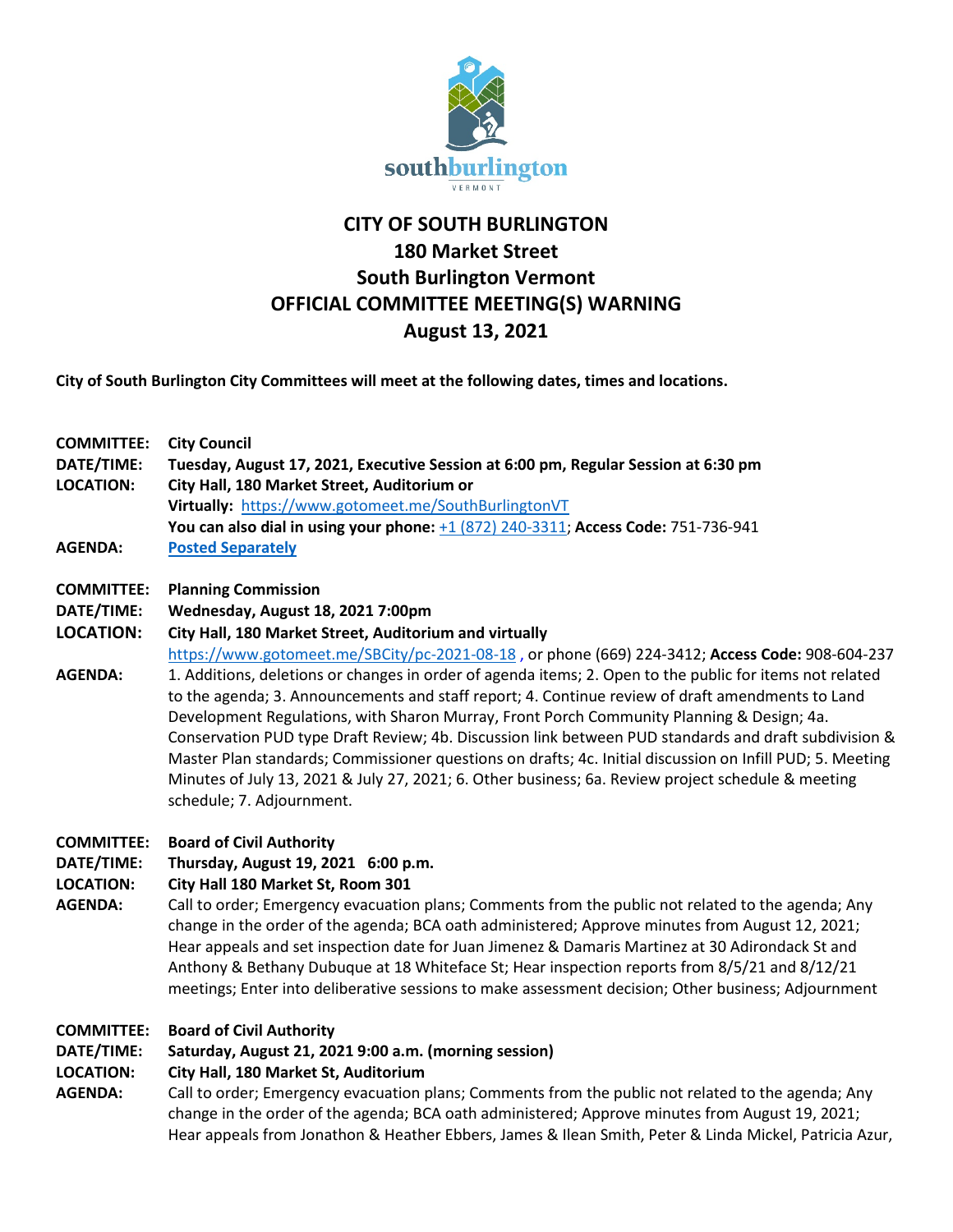

# **CITY OF SOUTH BURLINGTON 180 Market Street South Burlington Vermont OFFICIAL COMMITTEE MEETING(S) WARNING August 13, 2021**

**City of South Burlington City Committees will meet at the following dates, times and locations.** 

- **COMMITTEE: City Council DATE/TIME: Tuesday, August 17, 2021, Executive Session at 6:00 pm, Regular Session at 6:30 pm LOCATION: City Hall, 180 Market Street, Auditorium or Virtually:** <https://www.gotomeet.me/SouthBurlingtonVT> **You can also dial in using your phone:** [+1 \(872\) 240-3311;](tel:+18722403311,,751736941) **Access Code:** 751-736-941 **AGENDA: [Posted Separately](https://sbvt-records.info/WebLink/DocView.aspx?id=251726&dbid=0&repo=SBurl)**
- **COMMITTEE: Planning Commission**
- **DATE/TIME: Wednesday, August 18, 2021 7:00pm**
- **LOCATION: City Hall, 180 Market Street, Auditorium and virtually**
- <https://www.gotomeet.me/SBCity/pc-2021-08-18> , or phone (669) 224-3412; **Access Code:** 908-604-237 **AGENDA:** 1. Additions, deletions or changes in order of agenda items; 2. Open to the public for items not related to the agenda; 3. Announcements and staff report; 4. Continue review of draft amendments to Land Development Regulations, with Sharon Murray, Front Porch Community Planning & Design; 4a. Conservation PUD type Draft Review; 4b. Discussion link between PUD standards and draft subdivision & Master Plan standards; Commissioner questions on drafts; 4c. Initial discussion on Infill PUD; 5. Meeting Minutes of July 13, 2021 & July 27, 2021; 6. Other business; 6a. Review project schedule & meeting schedule; 7. Adjournment.
- **COMMITTEE: Board of Civil Authority**
- **DATE/TIME: Thursday, August 19, 2021 6:00 p.m.**
- **LOCATION: City Hall 180 Market St, Room 301**
- **AGENDA:** Call to order; Emergency evacuation plans; Comments from the public not related to the agenda; Any change in the order of the agenda; BCA oath administered; Approve minutes from August 12, 2021; Hear appeals and set inspection date for Juan Jimenez & Damaris Martinez at 30 Adirondack St and Anthony & Bethany Dubuque at 18 Whiteface St; Hear inspection reports from 8/5/21 and 8/12/21 meetings; Enter into deliberative sessions to make assessment decision; Other business; Adjournment

## **COMMITTEE: Board of Civil Authority**

## **DATE/TIME: Saturday, August 21, 2021 9:00 a.m. (morning session)**

#### **LOCATION: City Hall, 180 Market St, Auditorium**

**AGENDA:** Call to order; Emergency evacuation plans; Comments from the public not related to the agenda; Any change in the order of the agenda; BCA oath administered; Approve minutes from August 19, 2021; Hear appeals from Jonathon & Heather Ebbers, James & Ilean Smith, Peter & Linda Mickel, Patricia Azur,